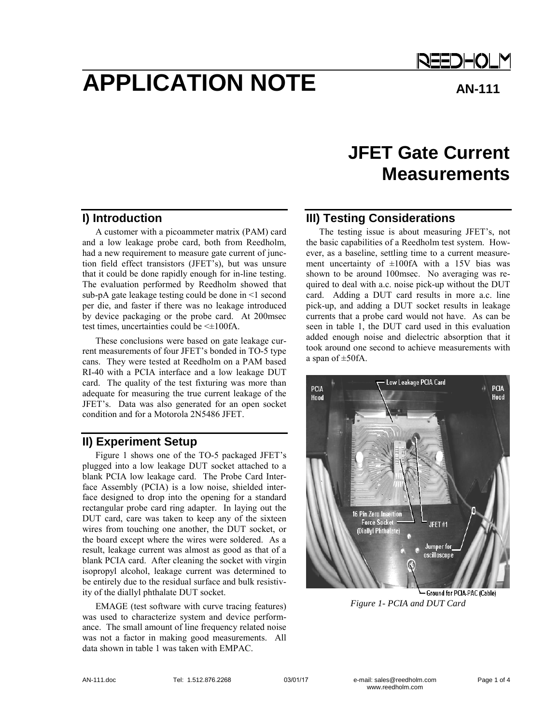# **APPLICATION NOTE** AN-111

REEDHOLM

# **JFET Gate Current Measurements**

### **I) Introduction**

A customer with a picoammeter matrix (PAM) card and a low leakage probe card, both from Reedholm, had a new requirement to measure gate current of junction field effect transistors (JFET's), but was unsure that it could be done rapidly enough for in-line testing. The evaluation performed by Reedholm showed that sub-pA gate leakage testing could be done in <1 second per die, and faster if there was no leakage introduced by device packaging or the probe card. At 200msec test times, uncertainties could be <±100fA.

These conclusions were based on gate leakage current measurements of four JFET's bonded in TO-5 type cans. They were tested at Reedholm on a PAM based RI-40 with a PCIA interface and a low leakage DUT card. The quality of the test fixturing was more than adequate for measuring the true current leakage of the JFET's. Data was also generated for an open socket condition and for a Motorola 2N5486 JFET.

# **II) Experiment Setup**

Figure 1 shows one of the TO-5 packaged JFET's plugged into a low leakage DUT socket attached to a blank PCIA low leakage card. The Probe Card Interface Assembly (PCIA) is a low noise, shielded interface designed to drop into the opening for a standard rectangular probe card ring adapter. In laying out the DUT card, care was taken to keep any of the sixteen wires from touching one another, the DUT socket, or the board except where the wires were soldered. As a result, leakage current was almost as good as that of a blank PCIA card. After cleaning the socket with virgin isopropyl alcohol, leakage current was determined to be entirely due to the residual surface and bulk resistivity of the diallyl phthalate DUT socket.

EMAGE (test software with curve tracing features) was used to characterize system and device performance. The small amount of line frequency related noise was not a factor in making good measurements. All data shown in table 1 was taken with EMPAC.

# **III) Testing Considerations**

The testing issue is about measuring JFET's, not the basic capabilities of a Reedholm test system. However, as a baseline, settling time to a current measurement uncertainty of  $\pm 100$ fA with a 15V bias was shown to be around 100msec. No averaging was required to deal with a.c. noise pick-up without the DUT card. Adding a DUT card results in more a.c. line pick-up, and adding a DUT socket results in leakage currents that a probe card would not have. As can be seen in table 1, the DUT card used in this evaluation added enough noise and dielectric absorption that it took around one second to achieve measurements with a span of  $\pm$ 50fA.



*Figure 1- PCIA and DUT Card*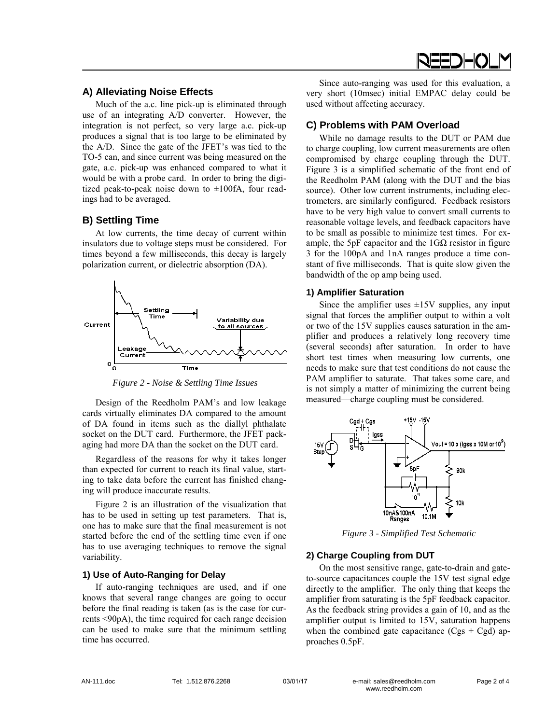#### **A) Alleviating Noise Effects**

Much of the a.c. line pick-up is eliminated through use of an integrating A/D converter. However, the integration is not perfect, so very large a.c. pick-up produces a signal that is too large to be eliminated by the A/D. Since the gate of the JFET's was tied to the TO-5 can, and since current was being measured on the gate, a.c. pick-up was enhanced compared to what it would be with a probe card. In order to bring the digitized peak-to-peak noise down to  $\pm 100$ fA, four readings had to be averaged.

#### **B) Settling Time**

At low currents, the time decay of current within insulators due to voltage steps must be considered. For times beyond a few milliseconds, this decay is largely polarization current, or dielectric absorption (DA).



*Figure 2 - Noise & Settling Time Issues* 

Design of the Reedholm PAM's and low leakage cards virtually eliminates DA compared to the amount of DA found in items such as the diallyl phthalate socket on the DUT card. Furthermore, the JFET packaging had more DA than the socket on the DUT card.

Regardless of the reasons for why it takes longer than expected for current to reach its final value, starting to take data before the current has finished changing will produce inaccurate results.

Figure 2 is an illustration of the visualization that has to be used in setting up test parameters. That is, one has to make sure that the final measurement is not started before the end of the settling time even if one has to use averaging techniques to remove the signal variability.

#### **1) Use of Auto-Ranging for Delay**

If auto-ranging techniques are used, and if one knows that several range changes are going to occur before the final reading is taken (as is the case for currents <90pA), the time required for each range decision can be used to make sure that the minimum settling time has occurred.

Since auto-ranging was used for this evaluation, a very short (10msec) initial EMPAC delay could be used without affecting accuracy.

#### **C) Problems with PAM Overload**

While no damage results to the DUT or PAM due to charge coupling, low current measurements are often compromised by charge coupling through the DUT. Figure 3 is a simplified schematic of the front end of the Reedholm PAM (along with the DUT and the bias source). Other low current instruments, including electrometers, are similarly configured. Feedback resistors have to be very high value to convert small currents to reasonable voltage levels, and feedback capacitors have to be small as possible to minimize test times. For example, the 5pF capacitor and the  $1 \text{G}\Omega$  resistor in figure 3 for the 100pA and 1nA ranges produce a time constant of five milliseconds. That is quite slow given the bandwidth of the op amp being used.

#### **1) Amplifier Saturation**

Since the amplifier uses  $\pm 15V$  supplies, any input signal that forces the amplifier output to within a volt or two of the 15V supplies causes saturation in the amplifier and produces a relatively long recovery time (several seconds) after saturation. In order to have short test times when measuring low currents, one needs to make sure that test conditions do not cause the PAM amplifier to saturate. That takes some care, and is not simply a matter of minimizing the current being measured—charge coupling must be considered.



*Figure 3 - Simplified Test Schematic* 

#### **2) Charge Coupling from DUT**

On the most sensitive range, gate-to-drain and gateto-source capacitances couple the 15V test signal edge directly to the amplifier. The only thing that keeps the amplifier from saturating is the 5pF feedback capacitor. As the feedback string provides a gain of 10, and as the amplifier output is limited to 15V, saturation happens when the combined gate capacitance  $(Cgs + Cgd)$  approaches 0.5pF.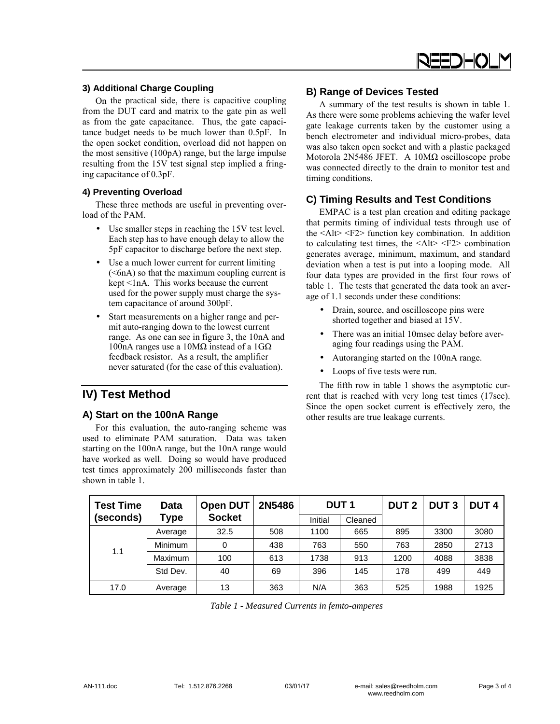

#### **3) Additional Charge Coupling**

On the practical side, there is capacitive coupling from the DUT card and matrix to the gate pin as well as from the gate capacitance. Thus, the gate capacitance budget needs to be much lower than 0.5pF. In the open socket condition, overload did not happen on the most sensitive (100pA) range, but the large impulse resulting from the 15V test signal step implied a fringing capacitance of 0.3pF.

#### **4) Preventing Overload**

These three methods are useful in preventing overload of the PAM.

- Use smaller steps in reaching the 15V test level. Each step has to have enough delay to allow the 5pF capacitor to discharge before the next step.
- Use a much lower current for current limiting  $( $6nA$ ) so that the maximum coupling current is$ kept <1nA. This works because the current used for the power supply must charge the system capacitance of around 300pF.
- Start measurements on a higher range and permit auto-ranging down to the lowest current range. As one can see in figure 3, the 10nA and 100nA ranges use a 10MΩ instead of a 1GΩ feedback resistor. As a result, the amplifier never saturated (for the case of this evaluation).

## **IV) Test Method**

#### **A) Start on the 100nA Range**

For this evaluation, the auto-ranging scheme was used to eliminate PAM saturation. Data was taken starting on the 100nA range, but the 10nA range would have worked as well. Doing so would have produced test times approximately 200 milliseconds faster than shown in table 1.

#### **B) Range of Devices Tested**

A summary of the test results is shown in table 1. As there were some problems achieving the wafer level gate leakage currents taken by the customer using a bench electrometer and individual micro-probes, data was also taken open socket and with a plastic packaged Motorola 2N5486 JFET. A 10MΩ oscilloscope probe was connected directly to the drain to monitor test and timing conditions.

#### **C) Timing Results and Test Conditions**

EMPAC is a test plan creation and editing package that permits timing of individual tests through use of the  $\langle A|t \rangle \langle F2 \rangle$  function key combination. In addition to calculating test times, the  $\langle A|t \rangle \langle F2 \rangle$  combination generates average, minimum, maximum, and standard deviation when a test is put into a looping mode. All four data types are provided in the first four rows of table 1. The tests that generated the data took an average of 1.1 seconds under these conditions:

- Drain, source, and oscilloscope pins were shorted together and biased at 15V.
- There was an initial 10msec delay before averaging four readings using the PAM.
- Autoranging started on the 100nA range.
- Loops of five tests were run.

The fifth row in table 1 shows the asymptotic current that is reached with very long test times (17sec). Since the open socket current is effectively zero, the other results are true leakage currents.

| <b>Test Time</b> | <b>Data</b><br><b>Type</b> | <b>Open DUT</b><br><b>Socket</b> | 2N5486 | <b>DUT1</b> |         | <b>DUT 2</b> | <b>DUT3</b> | <b>DUT4</b> |
|------------------|----------------------------|----------------------------------|--------|-------------|---------|--------------|-------------|-------------|
| (seconds)        |                            |                                  |        | Initial     | Cleaned |              |             |             |
| 1.1              | Average                    | 32.5                             | 508    | 1100        | 665     | 895          | 3300        | 3080        |
|                  | Minimum                    | 0                                | 438    | 763         | 550     | 763          | 2850        | 2713        |
|                  | Maximum                    | 100                              | 613    | 1738        | 913     | 1200         | 4088        | 3838        |
|                  | Std Dev.                   | 40                               | 69     | 396         | 145     | 178          | 499         | 449         |
| 17.0             | Average                    | 13                               | 363    | N/A         | 363     | 525          | 1988        | 1925        |

*Table 1 - Measured Currents in femto-amperes*